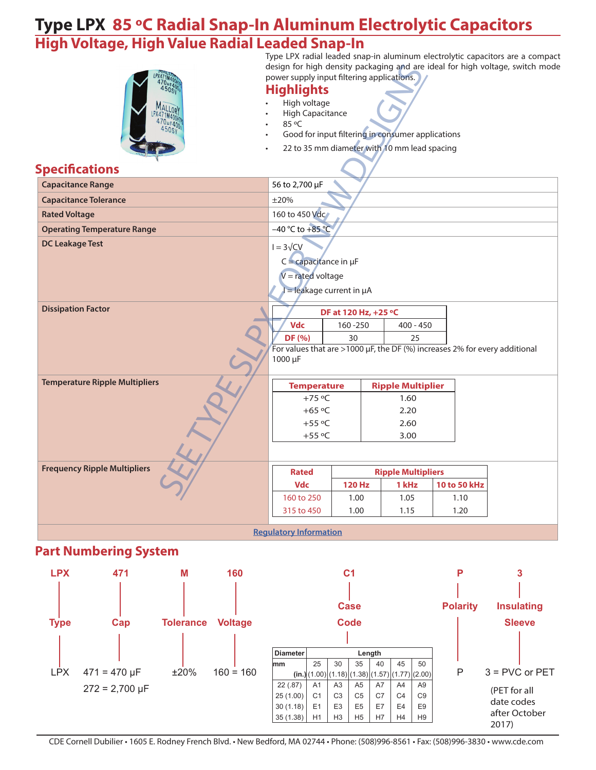#### **Type LPX 85 ºC Radial Snap-In Aluminum Electrolytic Capacitors High Voltage, High Value Radial Leaded Snap-In**

|                                       | power supply input filtering applications.<br><b>Highlights</b><br>High voltage<br><b>High Capacitance</b><br>85 °C<br>Good for input filtering in consumer applications<br>22 to 35 mm diameter with 10 mm lead spacing |                      |       |                           |              | Type LPX radial leaded snap-in aluminum electrolytic capacitors are a compact<br>design for high density packaging and are ideal for high voltage, switch mode |  |  |  |
|---------------------------------------|--------------------------------------------------------------------------------------------------------------------------------------------------------------------------------------------------------------------------|----------------------|-------|---------------------------|--------------|----------------------------------------------------------------------------------------------------------------------------------------------------------------|--|--|--|
| <b>Specifications</b>                 |                                                                                                                                                                                                                          |                      |       |                           |              |                                                                                                                                                                |  |  |  |
| <b>Capacitance Range</b>              | 56 to 2,700 µF                                                                                                                                                                                                           |                      |       |                           |              |                                                                                                                                                                |  |  |  |
| <b>Capacitance Tolerance</b>          | ±20%                                                                                                                                                                                                                     |                      |       |                           |              |                                                                                                                                                                |  |  |  |
| <b>Rated Voltage</b>                  | 160 to 450 Vdc                                                                                                                                                                                                           |                      |       |                           |              |                                                                                                                                                                |  |  |  |
| <b>Operating Temperature Range</b>    | $-40 °C$ to $+85 °C$                                                                                                                                                                                                     |                      |       |                           |              |                                                                                                                                                                |  |  |  |
| <b>DC Leakage Test</b>                | $I = 3\sqrt{CV}$<br>$C =$ capacitance in $\mu$ F<br>$V =$ rated voltage<br>$=$ leakage current in $\mu$ A                                                                                                                |                      |       |                           |              |                                                                                                                                                                |  |  |  |
| <b>Dissipation Factor</b>             |                                                                                                                                                                                                                          | DF at 120 Hz, +25 °C |       |                           |              |                                                                                                                                                                |  |  |  |
|                                       | Vdc                                                                                                                                                                                                                      | 160-250              |       | $400 - 450$               |              |                                                                                                                                                                |  |  |  |
|                                       | DF (%)                                                                                                                                                                                                                   | 30                   |       | 25                        |              |                                                                                                                                                                |  |  |  |
|                                       | For values that are >1000 $\mu$ F, the DF (%) increases 2% for every additional<br>1000 µF                                                                                                                               |                      |       |                           |              |                                                                                                                                                                |  |  |  |
| <b>Temperature Ripple Multipliers</b> | <b>Temperature</b>                                                                                                                                                                                                       |                      |       | <b>Ripple Multiplier</b>  |              |                                                                                                                                                                |  |  |  |
|                                       | $+75$ °C                                                                                                                                                                                                                 |                      |       | 1.60                      |              |                                                                                                                                                                |  |  |  |
|                                       | $+65$ °C                                                                                                                                                                                                                 |                      |       | 2.20                      |              |                                                                                                                                                                |  |  |  |
|                                       | $+55$ °C                                                                                                                                                                                                                 |                      |       | 2.60                      |              |                                                                                                                                                                |  |  |  |
|                                       | $+55$ °C                                                                                                                                                                                                                 |                      |       | 3.00                      |              |                                                                                                                                                                |  |  |  |
|                                       |                                                                                                                                                                                                                          |                      |       |                           |              |                                                                                                                                                                |  |  |  |
| <b>Frequency Ripple Multipliers</b>   | <b>Rated</b>                                                                                                                                                                                                             |                      |       | <b>Ripple Multipliers</b> |              |                                                                                                                                                                |  |  |  |
|                                       | <b>Vdc</b>                                                                                                                                                                                                               | <b>120 Hz</b>        | 1 kHz |                           | 10 to 50 kHz |                                                                                                                                                                |  |  |  |
|                                       | 160 to 250                                                                                                                                                                                                               | 1.00                 |       | 1.05                      | 1.10         |                                                                                                                                                                |  |  |  |
|                                       | 315 to 450                                                                                                                                                                                                               | 1.00                 |       | 1.15                      | 1.20         |                                                                                                                                                                |  |  |  |
|                                       | <b>Regulatory Information</b>                                                                                                                                                                                            |                      |       |                           |              |                                                                                                                                                                |  |  |  |

#### **Part Numbering System**

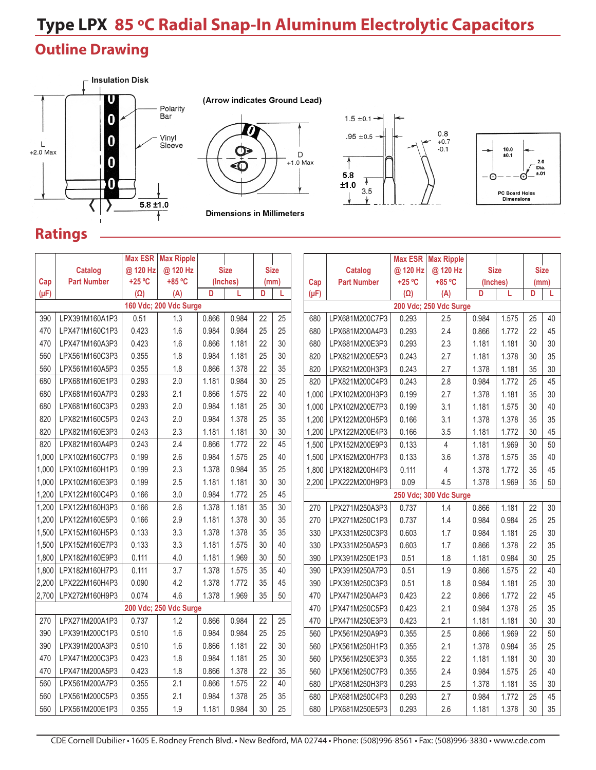# **Type LPX 85 ºC Radial Snap-In Aluminum Electrolytic Capacitors**

#### **Outline Drawing**



(Arrow indicates Ground Lead)  $\bf \Phi$  $\mathsf D$  $+1.0$  Max  $\bf \hat{\odot}$ 

**Dimensions in Millimeters** 





#### **Ratings**

|                        |                    | <b>Max ESR</b> | <b>Max Ripple</b> |          |             |             |      |                |                        |                    | <b>Max ESR</b>         | <b>Max Ripple</b> |             |       |      |             |  |  |
|------------------------|--------------------|----------------|-------------------|----------|-------------|-------------|------|----------------|------------------------|--------------------|------------------------|-------------------|-------------|-------|------|-------------|--|--|
|                        | <b>Catalog</b>     | @ 120 Hz       | @ 120 Hz          |          | <b>Size</b> | <b>Size</b> |      |                |                        | <b>Catalog</b>     | @ 120 Hz               | @ 120 Hz          | <b>Size</b> |       |      | <b>Size</b> |  |  |
| Cap                    | <b>Part Number</b> | $+25 °C$       | +85 °C            | (Inches) |             |             | (mm) |                | Cap                    | <b>Part Number</b> | $+25 °C$               | +85 °C            | (Inches)    |       | (mm) |             |  |  |
| $(\mu F)$              |                    | $(\Omega)$     | (A)               | D        |             | D           |      |                | $(\mu F)$              |                    | $(\Omega)$             | (A)               | D           |       | D    | L           |  |  |
| 160 Vdc; 200 Vdc Surge |                    |                |                   |          |             |             |      |                | 200 Vdc; 250 Vdc Surge |                    |                        |                   |             |       |      |             |  |  |
| 390                    | LPX391M160A1P3     | 0.51           | 1.3               | 0.866    | 0.984       | 22          | 25   |                | 680                    | LPX681M200C7P3     | 0.293                  | 2.5               | 0.984       | 1.575 | 25   | 40          |  |  |
| 470                    | LPX471M160C1P3     | 0.423          | 1.6               | 0.984    | 0.984       | 25          | 25   |                | 680                    | LPX681M200A4P3     | 0.293                  | 2.4               | 0.866       | 1.772 | 22   | 45          |  |  |
| 470                    | LPX471M160A3P3     | 0.423          | 1.6               | 0.866    | 1.181       | 22          | 30   |                | 680                    | LPX681M200E3P3     | 0.293                  | 2.3               | 1.181       | 1.181 | 30   | 30          |  |  |
| 560                    | LPX561M160C3P3     | 0.355          | 1.8               | 0.984    | 1.181       | 25          | 30   |                | 820                    | LPX821M200E5P3     | 0.243                  | 2.7               | 1.181       | 1.378 | 30   | 35          |  |  |
| 560                    | LPX561M160A5P3     | 0.355          | 1.8               | 0.866    | 1.378       | 22          | 35   |                | 820                    | LPX821M200H3P3     | 0.243                  | 2.7               | 1.378       | 1.181 | 35   | 30          |  |  |
| 680                    | LPX681M160E1P3     | 0.293          | 2.0               | 1.181    | 0.984       | 30          | 25   |                | 820                    | LPX821M200C4P3     | 0.243                  | 2.8               | 0.984       | 1.772 | 25   | 45          |  |  |
| 680                    | LPX681M160A7P3     | 0.293          | 2.1               | 0.866    | 1.575       | 22          | 40   |                | 1.000                  | LPX102M200H3P3     | 0.199                  | 2.7               | 1.378       | 1.181 | 35   | 30          |  |  |
| 680                    | LPX681M160C3P3     | 0.293          | 2.0               | 0.984    | 1.181       | 25          | 30   |                | 1,000                  | LPX102M200E7P3     | 0.199                  | 3.1               | 1.181       | 1.575 | 30   | 40          |  |  |
| 820                    | LPX821M160C5P3     | 0.243          | 2.0               | 0.984    | 1.378       | 25          | 35   |                | 1,200                  | LPX122M200H5P3     | 0.166                  | 3.1               | 1.378       | 1.378 | 35   | 35          |  |  |
| 820                    | LPX821M160E3P3     | 0.243          | 2.3               | 1.181    | 1.181       | 30          | 30   |                | 1,200                  | LPX122M200E4P3     | 0.166                  | 3.5               | 1.181       | 1.772 | 30   | 45          |  |  |
| 820                    | LPX821M160A4P3     | 0.243          | 2.4               | 0.866    | 1.772       | 22          | 45   |                | 1,500                  | LPX152M200E9P3     | 0.133                  | 4                 | 1.181       | 1.969 | 30   | 50          |  |  |
| 1,000                  | LPX102M160C7P3     | 0.199          | 2.6               | 0.984    | 1.575       | 25          | 40   |                | 1,500                  | LPX152M200H7P3     | 0.133                  | 3.6               | 1.378       | 1.575 | 35   | 40          |  |  |
| 1,000                  | LPX102M160H1P3     | 0.199          | 2.3               | 1.378    | 0.984       | 35          | 25   |                | 1.800                  | LPX182M200H4P3     | 0.111                  | 4                 | 1.378       | 1.772 | 35   | 45          |  |  |
| 1,000                  | LPX102M160E3P3     | 0.199          | 2.5               | 1.181    | 1.181       | 30          | 30   |                | 2,200                  | LPX222M200H9P3     | 0.09                   | 4.5               | 1.378       | 1.969 | 35   | 50          |  |  |
| 1,200                  | LPX122M160C4P3     | 0.166          | 3.0               | 0.984    | 1.772       | 25          | 45   |                |                        |                    | 250 Vdc; 300 Vdc Surge |                   |             |       |      |             |  |  |
| 1,200                  | LPX122M160H3P3     | 0.166          | 2.6               | 1.378    | 1.181       | 35          | 30   |                | 270                    | LPX271M250A3P3     | 0.737                  | 1.4               | 0.866       | 1.181 | 22   | 30          |  |  |
| 1,200                  | LPX122M160E5P3     | 0.166          | 2.9               | 1.181    | 1.378       | 30          | 35   |                | 270                    | LPX271M250C1P3     | 0.737                  | 1.4               | 0.984       | 0.984 | 25   | 25          |  |  |
| 1,500                  | LPX152M160H5P3     | 0.133          | 3.3               | 1.378    | 1.378       | 35          | 35   |                | 330                    | LPX331M250C3P3     | 0.603                  | 1.7               | 0.984       | 1.181 | 25   | 30          |  |  |
| 1,500                  | LPX152M160E7P3     | 0.133          | 3.3               | 1.181    | 1.575       | 30          | 40   |                | 330                    | LPX331M250A5P3     | 0.603                  | 1.7               | 0.866       | 1.378 | 22   | 35          |  |  |
| 1,800                  | LPX182M160E9P3     | 0.111          | 4.0               | 1.181    | 1.969       | 30          | 50   |                | 390                    | LPX391M250E1P3     | 0.51                   | 1.8               | 1.181       | 0.984 | 30   | 25          |  |  |
| 1,800                  | LPX182M160H7P3     | 0.111          | 3.7               | 1.378    | 1.575       | 35          | 40   |                | 390                    | LPX391M250A7P3     | 0.51                   | 1.9               | 0.866       | 1.575 | 22   | 40          |  |  |
| 2,200                  | LPX222M160H4P3     | 0.090          | 4.2               | 1.378    | 1.772       | 35          | 45   |                | 390                    | LPX391M250C3P3     | 0.51                   | 1.8               | 0.984       | 1.181 | 25   | 30          |  |  |
| 2,700                  | LPX272M160H9P3     | 0.074          | 4.6               | 1.378    | 1.969       | 35          | 50   |                | 470                    | LPX471M250A4P3     | 0.423                  | 2.2               | 0.866       | 1.772 | 22   | 45          |  |  |
| 200 Vdc; 250 Vdc Surge |                    |                |                   |          |             |             | 470  | LPX471M250C5P3 | 0.423                  | 2.1                | 0.984                  | 1.378             | 25          | 35    |      |             |  |  |
| 270                    | LPX271M200A1P3     | 0.737          | 1.2               | 0.866    | 0.984       | 22          | 25   |                | 470                    | LPX471M250E3P3     | 0.423                  | 2.1               | 1.181       | 1.181 | 30   | 30          |  |  |
| 390                    | LPX391M200C1P3     | 0.510          | 1.6               | 0.984    | 0.984       | 25          | 25   |                | 560                    | LPX561M250A9P3     | 0.355                  | 2.5               | 0.866       | 1.969 | 22   | 50          |  |  |
| 390                    | LPX391M200A3P3     | 0.510          | 1.6               | 0.866    | 1.181       | 22          | 30   |                | 560                    | LPX561M250H1P3     | 0.355                  | 2.1               | 1.378       | 0.984 | 35   | 25          |  |  |
| 470                    | LPX471M200C3P3     | 0.423          | 1.8               | 0.984    | 1.181       | 25          | 30   |                | 560                    | LPX561M250E3P3     | 0.355                  | 2.2               | 1.181       | 1.181 | 30   | 30          |  |  |
| 470                    | LPX471M200A5P3     | 0.423          | 1.8               | 0.866    | 1.378       | 22          | 35   |                | 560                    | LPX561M250C7P3     | 0.355                  | 2.4               | 0.984       | 1.575 | 25   | 40          |  |  |
| 560                    | LPX561M200A7P3     | 0.355          | 2.1               | 0.866    | 1.575       | 22          | 40   |                | 680                    | LPX681M250H3P3     | 0.293                  | 2.5               | 1.378       | 1.181 | 35   | 30          |  |  |
| 560                    | LPX561M200C5P3     | 0.355          | 2.1               | 0.984    | 1.378       | 25          | 35   |                | 680                    | LPX681M250C4P3     | 0.293                  | 2.7               | 0.984       | 1.772 | 25   | 45          |  |  |
| 560                    | LPX561M200E1P3     | 0.355          | 1.9               | 1.181    | 0.984       | 30          | 25   |                | 680                    | LPX681M250E5P3     | 0.293                  | 2.6               | 1.181       | 1.378 | 30   | 35          |  |  |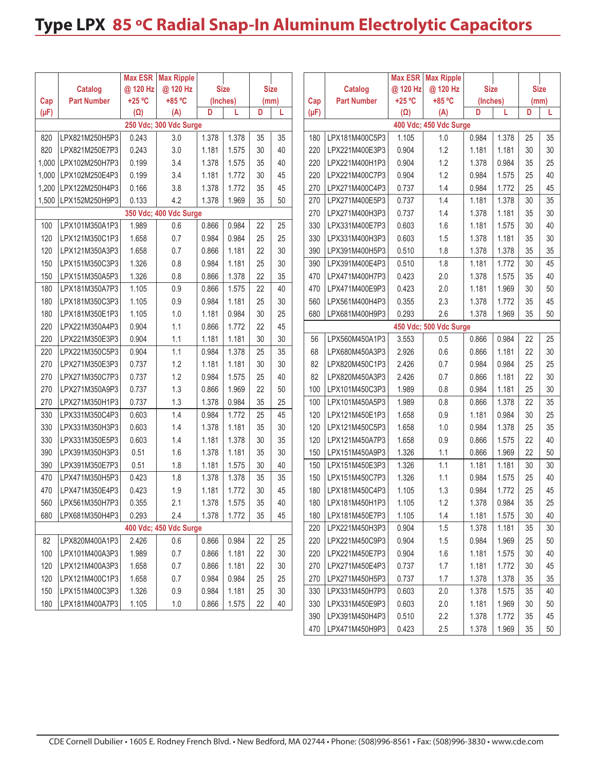## **Type LPX 85 ºC Radial Snap-In Aluminum Electrolytic Capacitors**

|                        |                    | <b>Max ESR</b> | <b>Max Ripple</b>      |          |             |             |                        |                |           |                    | Max ESR    | <b>Max Ripple</b>      |             |       |             |    |
|------------------------|--------------------|----------------|------------------------|----------|-------------|-------------|------------------------|----------------|-----------|--------------------|------------|------------------------|-------------|-------|-------------|----|
|                        | <b>Catalog</b>     | @ 120 Hz       | @ 120 Hz               |          | <b>Size</b> | <b>Size</b> |                        |                |           | <b>Catalog</b>     | @ 120 Hz   | @ 120 Hz               | <b>Size</b> |       | <b>Size</b> |    |
| Cap                    | <b>Part Number</b> | $+25 °C$       | +85 °C                 | (Inches) |             | (mm)        |                        |                | Cap       | <b>Part Number</b> | +25 °C     | +85 °C                 | (Inches)    |       | (mm)        |    |
| $(\mu F)$              |                    | $(\Omega)$     | (A)                    | D        | L           | D           | L                      |                | $(\mu F)$ |                    | $(\Omega)$ | (A)                    | D           | L     | D           | L  |
| 250 Vdc; 300 Vdc Surge |                    |                |                        |          |             |             | 400 Vdc; 450 Vdc Surge |                |           |                    |            |                        |             |       |             |    |
| 820                    | LPX821M250H5P3     | 0.243          | 3.0                    | 1.378    | 1.378       | 35          | 35                     |                | 180       | LPX181M400C5P3     | 1.105      | 1.0                    | 0.984       | 1.378 | 25          | 35 |
| 820                    | LPX821M250E7P3     | 0.243          | 3.0                    | 1.181    | 1.575       | 30          | 40                     |                | 220       | LPX221M400E3P3     | 0.904      | 1.2                    | 1.181       | 1.181 | 30          | 30 |
| 1,000                  | LPX102M250H7P3     | 0.199          | 3.4                    | 1.378    | 1.575       | 35          | 40                     |                | 220       | LPX221M400H1P3     | 0.904      | 1.2                    | 1.378       | 0.984 | 35          | 25 |
| 1,000                  | LPX102M250E4P3     | 0.199          | 3.4                    | 1.181    | 1.772       | 30          | 45                     |                | 220       | LPX221M400C7P3     | 0.904      | 1.2                    | 0.984       | 1.575 | 25          | 40 |
| 1,200                  | LPX122M250H4P3     | 0.166          | 3.8                    | 1.378    | 1.772       | 35          | 45                     |                | 270       | LPX271M400C4P3     | 0.737      | 1.4                    | 0.984       | 1.772 | 25          | 45 |
| 1,500                  | LPX152M250H9P3     | 0.133          | 4.2                    | 1.378    | 1.969       | 35          | 50                     |                | 270       | LPX271M400E5P3     | 0.737      | 1.4                    | 1.181       | 1.378 | 30          | 35 |
|                        |                    |                | 350 Vdc; 400 Vdc Surge |          |             |             |                        |                | 270       | LPX271M400H3P3     | 0.737      | 1.4                    | 1.378       | 1.181 | 35          | 30 |
| 100                    | LPX101M350A1P3     | 1.989          | 0.6                    | 0.866    | 0.984       | 22          | 25                     |                | 330       | LPX331M400E7P3     | 0.603      | 1.6                    | 1.181       | 1.575 | 30          | 40 |
| 120                    | LPX121M350C1P3     | 1.658          | 0.7                    | 0.984    | 0.984       | 25          | 25                     |                | 330       | LPX331M400H3P3     | 0.603      | 1.5                    | 1.378       | 1.181 | 35          | 30 |
| 120                    | LPX121M350A3P3     | 1.658          | 0.7                    | 0.866    | 1.181       | 22          | 30                     |                | 390       | LPX391M400H5P3     | 0.510      | 1.8                    | 1.378       | 1.378 | 35          | 35 |
| 150                    | LPX151M350C3P3     | 1.326          | 0.8                    | 0.984    | 1.181       | 25          | 30                     |                | 390       | LPX391M400E4P3     | 0.510      | 1.8                    | 1.181       | 1.772 | 30          | 45 |
| 150                    | LPX151M350A5P3     | 1.326          | 0.8                    | 0.866    | 1.378       | 22          | 35                     |                | 470       | LPX471M400H7P3     | 0.423      | 2.0                    | 1.378       | 1.575 | 35          | 40 |
| 180                    | LPX181M350A7P3     | 1.105          | 0.9                    | 0.866    | 1.575       | 22          | 40                     |                | 470       | LPX471M400E9P3     | 0.423      | 2.0                    | 1.181       | 1.969 | 30          | 50 |
| 180                    | LPX181M350C3P3     | 1.105          | 0.9                    | 0.984    | 1.181       | 25          | 30                     |                | 560       | LPX561M400H4P3     | 0.355      | 2.3                    | 1.378       | 1.772 | 35          | 45 |
| 180                    | LPX181M350E1P3     | 1.105          | 1.0                    | 1.181    | 0.984       | 30          | 25                     |                | 680       | LPX681M400H9P3     | 0.293      | 2.6                    | 1.378       | 1.969 | 35          | 50 |
| 220                    | LPX221M350A4P3     | 0.904          | 1.1                    | 0.866    | 1.772       | 22          | 45                     |                |           |                    |            | 450 Vdc; 500 Vdc Surge |             |       |             |    |
| 220                    | LPX221M350E3P3     | 0.904          | 1.1                    | 1.181    | 1.181       | 30          | 30                     |                | 56        | LPX560M450A1P3     | 3.553      | 0.5                    | 0.866       | 0.984 | 22          | 25 |
| 220                    | LPX221M350C5P3     | 0.904          | 1.1                    | 0.984    | 1.378       | 25          | 35                     |                | 68        | LPX680M450A3P3     | 2.926      | 0.6                    | 0.866       | 1.181 | 22          | 30 |
| 270                    | LPX271M350E3P3     | 0.737          | 1.2                    | 1.181    | 1.181       | 30          | 30                     |                | 82        | LPX820M450C1P3     | 2.426      | 0.7                    | 0.984       | 0.984 | 25          | 25 |
| 270                    | LPX271M350C7P3     | 0.737          | 1.2                    | 0.984    | 1.575       | 25          | 40                     |                | 82        | LPX820M450A3P3     | 2.426      | 0.7                    | 0.866       | 1.181 | 22          | 30 |
| 270                    | LPX271M350A9P3     | 0.737          | 1.3                    | 0.866    | 1.969       | 22          | 50                     |                | 100       | LPX101M450C3P3     | 1.989      | 0.8                    | 0.984       | 1.181 | 25          | 30 |
| 270                    | LPX271M350H1P3     | 0.737          | 1.3                    | 1.378    | 0.984       | 35          | 25                     |                | 100       | LPX101M450A5P3     | 1.989      | 0.8                    | 0.866       | 1.378 | 22          | 35 |
| 330                    | LPX331M350C4P3     | 0.603          | 1.4                    | 0.984    | 1.772       | 25          | 45                     |                | 120       | LPX121M450E1P3     | 1.658      | 0.9                    | 1.181       | 0.984 | 30          | 25 |
| 330                    | LPX331M350H3P3     | 0.603          | 1.4                    | 1.378    | 1.181       | 35          | 30                     |                | 120       | LPX121M450C5P3     | 1.658      | 1.0                    | 0.984       | 1.378 | 25          | 35 |
| 330                    | LPX331M350E5P3     | 0.603          | 1.4                    | 1.181    | 1.378       | 30          | 35                     |                | 120       | LPX121M450A7P3     | 1.658      | 0.9                    | 0.866       | 1.575 | 22          | 40 |
| 390                    | LPX391M350H3P3     | 0.51           | 1.6                    | 1.378    | 1.181       | 35          | 30                     |                | 150       | LPX151M450A9P3     | 1.326      | 1.1                    | 0.866       | 1.969 | 22          | 50 |
| 390                    | LPX391M350E7P3     | 0.51           | 1.8                    | 1.181    | 1.575       | 30          | 40                     |                | 150       | LPX151M450E3P3     | 1.326      | 1.1                    | 1.181       | 1.181 | 30          | 30 |
| 470                    | LPX471M350H5P3     | 0.423          | 1.8                    | 1.378    | 1.378       | 35          | 35                     |                | 150       | LPX151M450C7P3     | 1.326      | 1.1                    | 0.984       | 1.575 | 25          | 40 |
| 470                    | LPX471M350E4P3     | 0.423          | 1.9                    | 1.181    | 1.772       | 30          | 45                     |                | 180       | LPX181M450C4P3     | 1.105      | 1.3                    | 0.984       | 1.772 | 25          | 45 |
| 560                    | LPX561M350H7P3     | 0.355          | 2.1                    | 1.378    | 1.575       | 35          | 40                     |                | 180       | LPX181M450H1P3     | 1.105      | 1.2                    | 1.378       | 0.984 | 35          | 25 |
| 680                    | LPX681M350H4P3     | 0.293          | 2.4                    | 1.378    | 1.772       | 35          | 45                     |                | 180       | LPX181M450E7P3     | 1.105      | 1.4                    | 1.181       | 1.575 | 30          | 40 |
| 400 Vdc; 450 Vdc Surge |                    |                |                        |          |             |             | 220                    | LPX221M450H3P3 | 0.904     | 1.5                | 1.378      | 1.181                  | 35          | 30    |             |    |
| 82                     | LPX820M400A1P3     | 2.426          | 0.6                    | 0.866    | 0.984       | 22          | 25                     |                | 220       | LPX221M450C9P3     | 0.904      | 1.5                    | 0.984       | 1.969 | 25          | 50 |
| 100                    | LPX101M400A3P3     | 1.989          | 0.7                    | 0.866    | 1.181       | 22          | 30                     |                | 220       | LPX221M450E7P3     | 0.904      | 1.6                    | 1.181       | 1.575 | 30          | 40 |
| 120                    | LPX121M400A3P3     | 1.658          | 0.7                    | 0.866    | 1.181       | 22          | 30                     |                | 270       | LPX271M450E4P3     | 0.737      | 1.7                    | 1.181       | 1.772 | 30          | 45 |
| 120                    | LPX121M400C1P3     | 1.658          | 0.7                    | 0.984    | 0.984       | 25          | 25                     |                | 270       | LPX271M450H5P3     | 0.737      | 1.7                    | 1.378       | 1.378 | 35          | 35 |
| 150                    | LPX151M400C3P3     | 1.326          | 0.9                    | 0.984    | 1.181       | 25          | 30                     |                | 330       | LPX331M450H7P3     | 0.603      | 2.0                    | 1.378       | 1.575 | 35          | 40 |
| 180                    | LPX181M400A7P3     | 1.105          | $1.0\,$                | 0.866    | 1.575       | 22          | 40                     |                | 330       | LPX331M450E9P3     | 0.603      | 2.0                    | 1.181       | 1.969 | 30          | 50 |
|                        |                    |                |                        |          |             |             |                        |                | 390       | LPX391M450H4P3     | 0.510      | 2.2                    | 1.378       | 1.772 | 35          | 45 |
|                        |                    |                |                        |          |             |             |                        |                | 470       | LPX471M450H9P3     | 0.423      | 2.5                    | 1.378       | 1.969 | 35          | 50 |